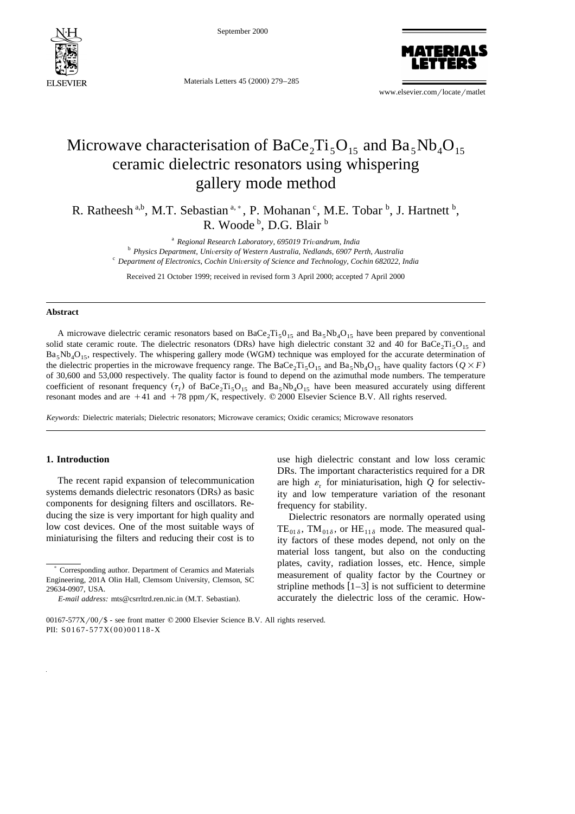

September 2000

Materials Letters 45 (2000) 279-285



www.elsevier.com/locate/matlet

# Microwave characterisation of BaCe<sub>2</sub>Ti<sub>5</sub>O<sub>15</sub> and Ba<sub>5</sub>Nb<sub>4</sub>O<sub>15</sub> ceramic dielectric resonators using whispering gallery mode method

R. Ratheesh<sup>a,b</sup>, M.T. Sebastian<sup>a,\*</sup>, P. Mohanan<sup>c</sup>, M.E. Tobar<sup>b</sup>, J. Hartnett<sup>b</sup>, R. Woode<sup>b</sup>, D.G. Blair<sup>b</sup>

<sup>a</sup> Regional Research Laboratory, 695019 Trivandrum, India<br><sup>b</sup> Physics Department, University of Western Australia, Nedlands, 6907 Perth, Australia<br><sup>c</sup> Department of Electronics, Cochin University of Science and Technolog

Received 21 October 1999; received in revised form 3 April 2000; accepted 7 April 2000

#### **Abstract**

A microwave dielectric ceramic resonators based on BaCe<sub>2</sub>Ti<sub>5</sub>0<sub>15</sub> and Ba<sub>5</sub>Nb<sub>4</sub>O<sub>15</sub> have been prepared by conventional solid state ceramic route. The dielectric resonators (DRs) have high dielectric constant 32 and 40 for BaCe<sub>2</sub>Ti<sub>5</sub>O<sub>15</sub> and  $Ba<sub>5</sub>Nb<sub>4</sub>O<sub>15</sub>$ , respectively. The whispering gallery mode (WGM) technique was employed for the accurate determination of the dielectric properties in the microwave frequency range. The BaCe<sub>2</sub>Ti<sub>5</sub>O<sub>15</sub> and Ba<sub>5</sub>Nb<sub>4</sub>O<sub>15</sub> have quality factors  $(Q \times F)$ of 30,600 and 53,000 respectively. The quality factor is found to depend on the azimuthal mode numbers. The temperature coefficient of resonant frequency  $(\tau_f)$  of BaCe,  $Ti_5O_{15}$  and Ba<sub>5</sub>Nb<sub>4</sub>O<sub>15</sub> have been measured accurately using different resonant modes and are  $+41$  and  $+78$  ppm/K, respectively.  $© 2000$  Elsevier Science B.V. All rights reserved.

*Keywords:* Dielectric materials; Dielectric resonators; Microwave ceramics; Oxidic ceramics; Microwave resonators

### **1. Introduction**

The recent rapid expansion of telecommunication systems demands dielectric resonators (DRs) as basic components for designing filters and oscillators. Reducing the size is very important for high quality and low cost devices. One of the most suitable ways of miniaturising the filters and reducing their cost is to

use high dielectric constant and low loss ceramic DRs. The important characteristics required for a DR are high  $\varepsilon$ <sub>r</sub> for miniaturisation, high *Q* for selectivity and low temperature variation of the resonant frequency for stability.

Dielectric resonators are normally operated using  $TE_{01\delta}$ , TM<sub>01</sub> $_{\delta}$ , or HE<sub>11 $_{\delta}$ </sub> mode. The measured quality factors of these modes depend, not only on the material loss tangent, but also on the conducting plates, cavity, radiation losses, etc. Hence, simple measurement of quality factor by the Courtney or stripline methods  $[1-3]$  is not sufficient to determine accurately the dielectric loss of the ceramic. How-

<sup>)</sup> Corresponding author. Department of Ceramics and Materials Engineering, 201A Olin Hall, Clemsom University, Clemson, SC 29634-0907, USA.

*E-mail address:* mts@csrrltrd.ren.nic.in (M.T. Sebastian).

<sup>00167-577</sup>X/00/\$ - see front matter  $@$  2000 Elsevier Science B.V. All rights reserved. PII:  $S0167 - 577X(00)00118 - X$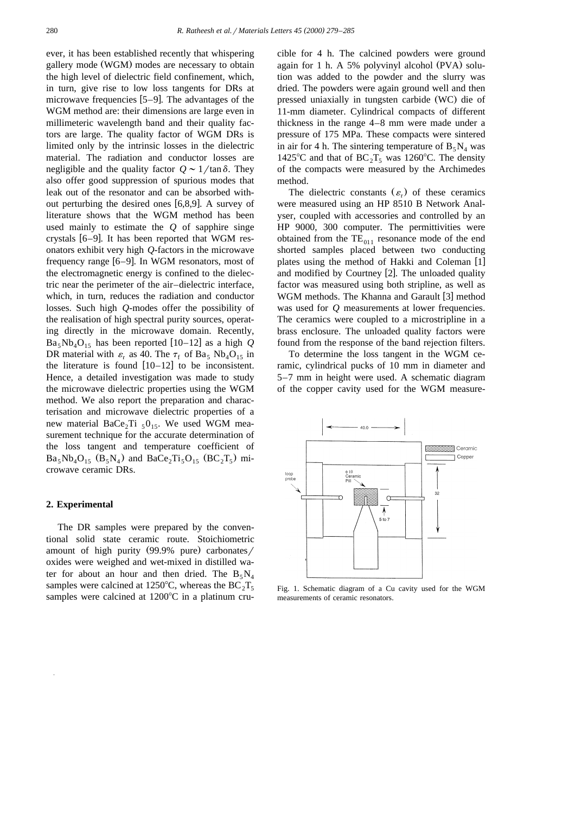ever, it has been established recently that whispering gallery mode (WGM) modes are necessary to obtain the high level of dielectric field confinement, which, in turn, give rise to low loss tangents for DRs at microwave frequencies  $[5-9]$ . The advantages of the WGM method are: their dimensions are large even in millimeteric wavelength band and their quality factors are large. The quality factor of WGM DRs is limited only by the intrinsic losses in the dielectric material. The radiation and conductor losses are negligible and the quality factor  $Q \sim 1/\tan\delta$ . They also offer good suppression of spurious modes that leak out of the resonator and can be absorbed without perturbing the desired ones  $[6,8,9]$ . A survey of literature shows that the WGM method has been used mainly to estimate the *Q* of sapphire singe crystals  $[6-9]$ . It has been reported that WGM resonators exhibit very high *Q*-factors in the microwave frequency range  $[6-9]$ . In WGM resonators, most of the electromagnetic energy is confined to the dielectric near the perimeter of the air–dielectric interface, which, in turn, reduces the radiation and conductor losses. Such high *Q*-modes offer the possibility of the realisation of high spectral purity sources, operating directly in the microwave domain. Recently,  $Ba_5Nb_4O_{15}$  has been reported [10–12] as a high Q DR material with  $\varepsilon_r$  as 40. The  $\tau_f$  of Ba, Nb<sub>4</sub>O<sub>15</sub> in the literature is found  $[10-12]$  to be inconsistent. Hence, a detailed investigation was made to study the microwave dielectric properties using the WGM method. We also report the preparation and characterisation and microwave dielectric properties of a new material BaCe<sub>2</sub>Ti  $_50_{15}$ . We used WGM measurement technique for the accurate determination of the loss tangent and temperature coefficient of  $Ba_5Nb_4O_{15}$   $(B_5N_4)$  and  $BaCe_2Ti_5O_{15}$   $(BC_2T_5)$  microwave ceramic DRs.

## **2. Experimental**

The DR samples were prepared by the conventional solid state ceramic route. Stoichiometric amount of high purity  $(99.9\%$  pure) carbonates/ oxides were weighed and wet-mixed in distilled water for about an hour and then dried. The  $B_5 N_4$ samples were calcined at 1250°C, whereas the  $BC_2T_5$ samples were calcined at  $1200^{\circ}$ C in a platinum crucible for 4 h. The calcined powders were ground again for 1 h. A 5% polyvinyl alcohol  $(PVA)$  solution was added to the powder and the slurry was dried. The powders were again ground well and then pressed uniaxially in tungsten carbide (WC) die of 11-mm diameter. Cylindrical compacts of different thickness in the range 4–8 mm were made under a pressure of 175 MPa. These compacts were sintered in air for 4 h. The sintering temperature of  $B_5 N_4$  was 1425°C and that of  $BC_2T_5$  was 1260°C. The density of the compacts were measured by the Archimedes method.

The dielectric constants  $(\varepsilon_r)$  of these ceramics were measured using an HP 8510 B Network Analyser, coupled with accessories and controlled by an HP 9000, 300 computer. The permittivities were obtained from the  $TE_{011}$  resonance mode of the end shorted samples placed between two conducting plates using the method of Hakki and Coleman [1] and modified by Courtney  $[2]$ . The unloaded quality factor was measured using both stripline, as well as WGM methods. The Khanna and Garault [3] method was used for *Q* measurements at lower frequencies. The ceramics were coupled to a microstripline in a brass enclosure. The unloaded quality factors were found from the response of the band rejection filters.

To determine the loss tangent in the WGM ceramic, cylindrical pucks of 10 mm in diameter and 5–7 mm in height were used. A schematic diagram of the copper cavity used for the WGM measure-



Fig. 1. Schematic diagram of a Cu cavity used for the WGM measurements of ceramic resonators.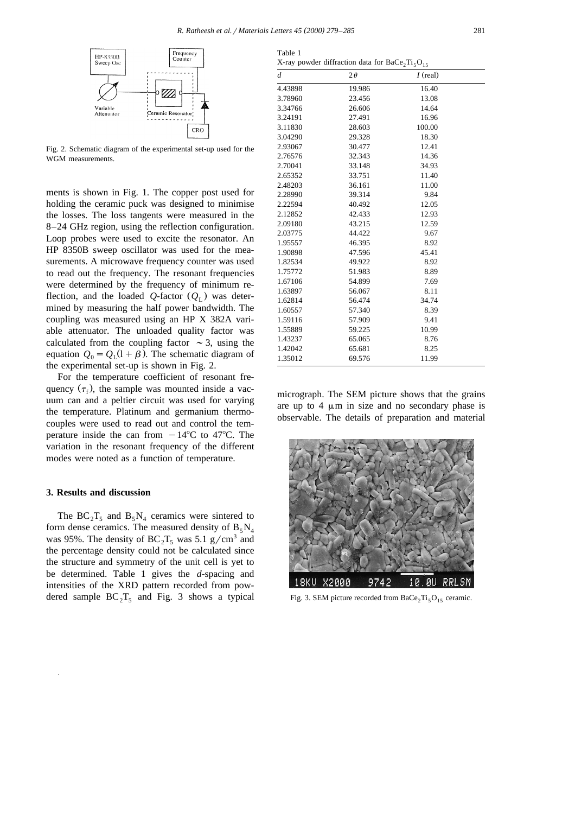Table 1



Fig. 2. Schematic diagram of the experimental set-up used for the WGM measurements.

ments is shown in Fig. 1. The copper post used for holding the ceramic puck was designed to minimise the losses. The loss tangents were measured in the 8–24 GHz region, using the reflection configuration. Loop probes were used to excite the resonator. An HP 8350B sweep oscillator was used for the measurements. A microwave frequency counter was used to read out the frequency. The resonant frequencies were determined by the frequency of minimum reflection, and the loaded *Q*-factor  $(Q<sub>L</sub>)$  was determined by measuring the half power bandwidth. The coupling was measured using an HP X 382A variable attenuator. The unloaded quality factor was calculated from the coupling factor  $\sim$  3, using the equation  $Q_0 = Q_1(1+\beta)$ . The schematic diagram of the experimental set-up is shown in Fig. 2.

For the temperature coefficient of resonant frequency  $(\tau_f)$ , the sample was mounted inside a vacuum can and a peltier circuit was used for varying the temperature. Platinum and germanium thermocouples were used to read out and control the temperature inside the can from  $-14^{\circ}C$  to 47<sup>o</sup>C. The variation in the resonant frequency of the different modes were noted as a function of temperature.

#### **3. Results and discussion**

The  $BC_2T_5$  and  $B_5N_4$  ceramics were sintered to form dense ceramics. The measured density of  $B_5 N_4$ was 95%. The density of  $BC_2T_5$  was 5.1 g/cm<sup>3</sup> and the percentage density could not be calculated since the structure and symmetry of the unit cell is yet to be determined. Table 1 gives the *d*-spacing and intensities of the XRD pattern recorded from powdered sample  $BC_2T_5$  and Fig. 3 shows a typical

|                | X-ray powder diffraction data for $BaCe2Ti5O15$ |            |  |
|----------------|-------------------------------------------------|------------|--|
| $\overline{d}$ | $2\theta$                                       | $I$ (real) |  |
| 4.43898        | 19.986                                          | 16.40      |  |
| 3.78960        | 23.456                                          | 13.08      |  |
| 3.34766        | 26.606                                          | 14.64      |  |
| 3.24191        | 27.491                                          | 16.96      |  |
| 3.11830        | 28.603                                          | 100.00     |  |
| 3.04290        | 29.328                                          | 18.30      |  |
| 2.93067        | 30.477                                          | 12.41      |  |
| 2.76576        | 32.343                                          | 14.36      |  |
| 2.70041        | 33.148                                          | 34.93      |  |
| 2.65352        | 33.751                                          | 11.40      |  |
| 2.48203        | 36.161                                          | 11.00      |  |
| 2.28990        | 39.314                                          | 9.84       |  |
| 2.22594        | 40.492                                          | 12.05      |  |
| 2.12852        | 42.433                                          | 12.93      |  |
| 2.09180        | 43.215                                          | 12.59      |  |
| 2.03775        | 44.422                                          | 9.67       |  |
| 1.95557        | 46.395                                          | 8.92       |  |
| 1.90898        | 47.596                                          | 45.41      |  |
| 1.82534        | 49.922                                          | 8.92       |  |
| 1.75772        | 51.983                                          | 8.89       |  |
| 1.67106        | 54.899                                          | 7.69       |  |
| 1.63897        | 56.067                                          | 8.11       |  |
| 1.62814        | 56.474                                          | 34.74      |  |
| 1.60557        | 57.340                                          | 8.39       |  |
| 1.59116        | 57.909                                          | 9.41       |  |
| 1.55889        | 59.225                                          | 10.99      |  |
| 1.43237        | 65.065                                          | 8.76       |  |
| 1.42042        | 65.681                                          | 8.25       |  |

micrograph. The SEM picture shows that the grains are up to  $4 \mu m$  in size and no secondary phase is observable. The details of preparation and material

1.35012 69.576 11.99



Fig. 3. SEM picture recorded from  $BaCe<sub>2</sub>Ti<sub>5</sub>O<sub>15</sub>$  ceramic.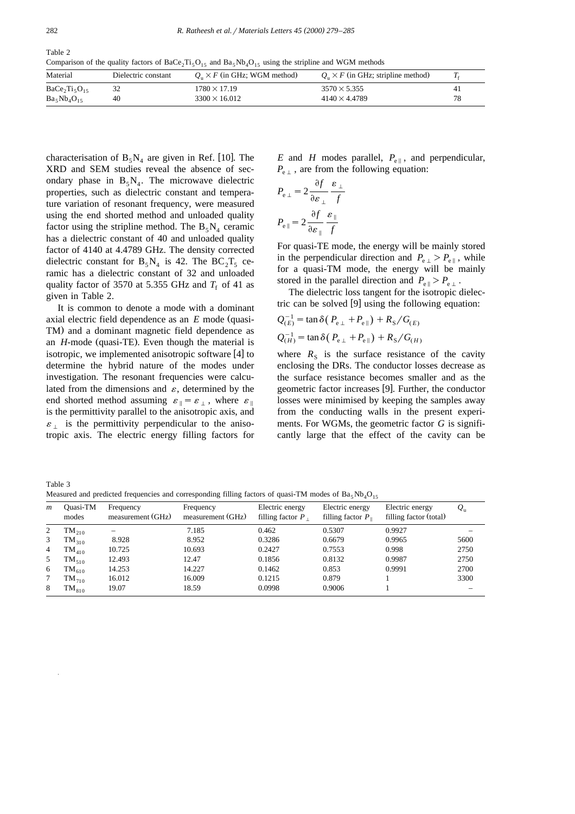Table 2 Comparison of the quality factors of BaCe<sub>2</sub>Ti<sub>5</sub>O<sub>15</sub> and Ba<sub>5</sub>Nb<sub>4</sub>O<sub>15</sub> using the stripline and WGM methods

| Material         | Dielectric constant | $Q_n \times F$ (in GHz; WGM method) | $Q_n \times F$ (in GHz; stripline method) |    |
|------------------|---------------------|-------------------------------------|-------------------------------------------|----|
| $BaCe2Ti5O15$    |                     | $1780 \times 17.19$                 | $3570 \times 5.355$                       | 41 |
| $Ba_5Nb_4O_{15}$ | 40                  | $3300 \times 16.012$                | $4140 \times 4.4789$                      | 78 |

characterisation of  $B_5N_4$  are given in Ref. [10]. The XRD and SEM studies reveal the absence of secondary phase in  $B_5N_4$ . The microwave dielectric properties, such as dielectric constant and temperature variation of resonant frequency, were measured using the end shorted method and unloaded quality factor using the stripline method. The  $B_5 N_4$  ceramic has a dielectric constant of 40 and unloaded quality factor of 4140 at 4.4789 GHz. The density corrected dielectric constant for  $B_5N_4$  is 42. The  $BC_2T_5$  ceramic has a dielectric constant of 32 and unloaded quality factor of 3570 at 5.355 GHz and  $T_f$  of 41 as given in Table 2.

It is common to denote a mode with a dominant axial electric field dependence as an *E* mode (quasi-TM) and a dominant magnetic field dependence as an *H*-mode (quasi-TE). Even though the material is isotropic, we implemented anisotropic software  $[4]$  to determine the hybrid nature of the modes under investigation. The resonant frequencies were calculated from the dimensions and  $\varepsilon$ , determined by the end shorted method assuming  $\varepsilon_{\parallel} = \varepsilon_{\perp}$ , where  $\varepsilon_{\parallel}$ is the permittivity parallel to the anisotropic axis, and  $\varepsilon_{\perp}$  is the permittivity perpendicular to the anisotropic axis. The electric energy filling factors for

*E* and *H* modes parallel,  $P_{\text{ell}}$ , and perpendicular,  $P_{\text{eff}}$ , are from the following equation:

$$
P_{e\perp} = 2 \frac{\partial f}{\partial \varepsilon_{\perp}} \frac{\varepsilon_{\perp}}{f}
$$

$$
P_{e\parallel} = 2 \frac{\partial f}{\partial \varepsilon_{\parallel}} \frac{\varepsilon_{\parallel}}{f}
$$

For quasi-TE mode, the energy will be mainly stored in the perpendicular direction and  $P_{\rm e}$   $\geq P_{\rm e\parallel}$ , while for a quasi-TM mode, the energy will be mainly stored in the parallel direction and  $P_{\text{eff}} > P_{\text{eff}}$ .

The dielectric loss tangent for the isotropic dielectric can be solved  $[9]$  using the following equation:

$$
Q_{(E)}^{-1} = \tan \delta (P_{e\perp} + P_{e\parallel}) + R_S / G_{(E)}
$$
  

$$
Q_{(H)}^{-1} = \tan \delta (P_{e\perp} + P_{e\parallel}) + R_S / G_{(H)}
$$

where  $R<sub>S</sub>$  is the surface resistance of the cavity enclosing the DRs. The conductor losses decrease as the surface resistance becomes smaller and as the geometric factor increases [9]. Further, the conductor losses were minimised by keeping the samples away from the conducting walls in the present experiments. For WGMs, the geometric factor *G* is significantly large that the effect of the cavity can be

| Table 3                                                                                                    |  |
|------------------------------------------------------------------------------------------------------------|--|
| Measured and predicted frequencies and corresponding filling factors of quasi-TM modes of $Ba_5Nb_4O_{15}$ |  |

| $\boldsymbol{m}$ | Ouasi-TM<br>modes | Frequency<br>measurement (GHz) | Frequency<br>measurement (GHz) | Electric energy<br>filling factor $P$ . | Electric energy<br>filling factor $P_{\parallel}$ | Electric energy<br>filling factor (total) | $Q_{\rm u}$ |
|------------------|-------------------|--------------------------------|--------------------------------|-----------------------------------------|---------------------------------------------------|-------------------------------------------|-------------|
|                  | $TM_{210}$        |                                | 7.185                          | 0.462                                   | 0.5307                                            | 0.9927                                    |             |
| 3                | $TM_{310}$        | 8.928                          | 8.952                          | 0.3286                                  | 0.6679                                            | 0.9965                                    | 5600        |
| 4                | $TM_{410}$        | 10.725                         | 10.693                         | 0.2427                                  | 0.7553                                            | 0.998                                     | 2750        |
| 5                | $TM_{510}$        | 12.493                         | 12.47                          | 0.1856                                  | 0.8132                                            | 0.9987                                    | 2750        |
| 6                | $\rm TM_{610}$    | 14.253                         | 14.227                         | 0.1462                                  | 0.853                                             | 0.9991                                    | 2700        |
| 7                | $TM_{710}$        | 16.012                         | 16.009                         | 0.1215                                  | 0.879                                             |                                           | 3300        |
| 8                | $TM_{810}$        | 19.07                          | 18.59                          | 0.0998                                  | 0.9006                                            |                                           |             |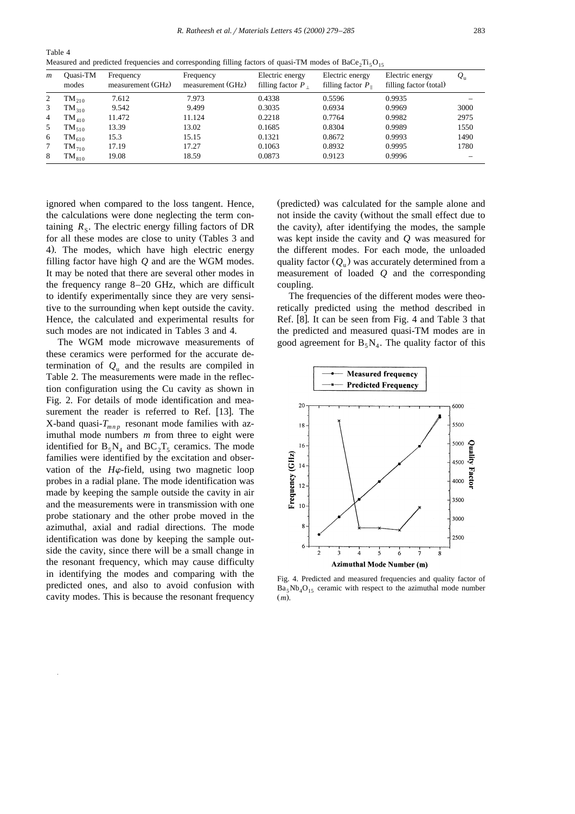| $\boldsymbol{m}$ | Ouasi-TM<br>modes | Frequency<br>measurement (GHz) | Frequency<br>measurement (GHz) | Electric energy<br>filling factor $P_1$ | Electric energy<br>filling factor $P_{\parallel}$ | Electric energy<br>filling factor (total) | $Q_{\rm u}$ |
|------------------|-------------------|--------------------------------|--------------------------------|-----------------------------------------|---------------------------------------------------|-------------------------------------------|-------------|
| 2                | $TM_{210}$        | 7.612                          | 7.973                          | 0.4338                                  | 0.5596                                            | 0.9935                                    |             |
| 3                | $TM_{310}$        | 9.542                          | 9.499                          | 0.3035                                  | 0.6934                                            | 0.9969                                    | 3000        |
| 4                | $\rm TM_{410}$    | 11.472                         | 11.124                         | 0.2218                                  | 0.7764                                            | 0.9982                                    | 2975        |
| 5                | $\rm TM_{510}$    | 13.39                          | 13.02                          | 0.1685                                  | 0.8304                                            | 0.9989                                    | 1550        |
| 6                | $\rm TM_{610}$    | 15.3                           | 15.15                          | 0.1321                                  | 0.8672                                            | 0.9993                                    | 1490        |
|                  | $TM_{710}$        | 17.19                          | 17.27                          | 0.1063                                  | 0.8932                                            | 0.9995                                    | 1780        |
| 8                | $\rm TM_{810}$    | 19.08                          | 18.59                          | 0.0873                                  | 0.9123                                            | 0.9996                                    |             |

Table 4 Measured and predicted frequencies and corresponding filling factors of quasi-TM modes of BaCe,  $Ti_{5}O_{15}$ 

ignored when compared to the loss tangent. Hence, the calculations were done neglecting the term containing  $R_s$ . The electric energy filling factors of DR for all these modes are close to unity (Tables 3 and 4). The modes, which have high electric energy filling factor have high *Q* and are the WGM modes. It may be noted that there are several other modes in the frequency range 8–20 GHz, which are difficult to identify experimentally since they are very sensitive to the surrounding when kept outside the cavity. Hence, the calculated and experimental results for such modes are not indicated in Tables 3 and 4.

The WGM mode microwave measurements of these ceramics were performed for the accurate determination of  $Q_{\rm u}$  and the results are compiled in Table 2. The measurements were made in the reflection configuration using the Cu cavity as shown in Fig. 2. For details of mode identification and measurement the reader is referred to Ref. [13]. The X-band quasi- $T_{mnp}$  resonant mode families with azimuthal mode numbers *m* from three to eight were identified for  $B_5N_4$  and  $BC_2T_5$  ceramics. The mode families were identified by the excitation and observation of the  $H\varphi$ -field, using two magnetic loop probes in a radial plane. The mode identification was made by keeping the sample outside the cavity in air and the measurements were in transmission with one probe stationary and the other probe moved in the azimuthal, axial and radial directions. The mode identification was done by keeping the sample outside the cavity, since there will be a small change in the resonant frequency, which may cause difficulty in identifying the modes and comparing with the predicted ones, and also to avoid confusion with cavity modes. This is because the resonant frequency (predicted) was calculated for the sample alone and not inside the cavity (without the small effect due to the cavity), after identifying the modes, the sample was kept inside the cavity and *Q* was measured for the different modes. For each mode, the unloaded quality factor  $(Q<sub>u</sub>)$  was accurately determined from a measurement of loaded *Q* and the corresponding coupling.

The frequencies of the different modes were theoretically predicted using the method described in Ref. [8]. It can be seen from Fig. 4 and Table 3 that the predicted and measured quasi-TM modes are in good agreement for  $B_5 N_4$ . The quality factor of this



Fig. 4. Predicted and measured frequencies and quality factor of  $Ba<sub>5</sub>Nb<sub>4</sub>O<sub>15</sub>$  ceramic with respect to the azimuthal mode number  $(m)$ .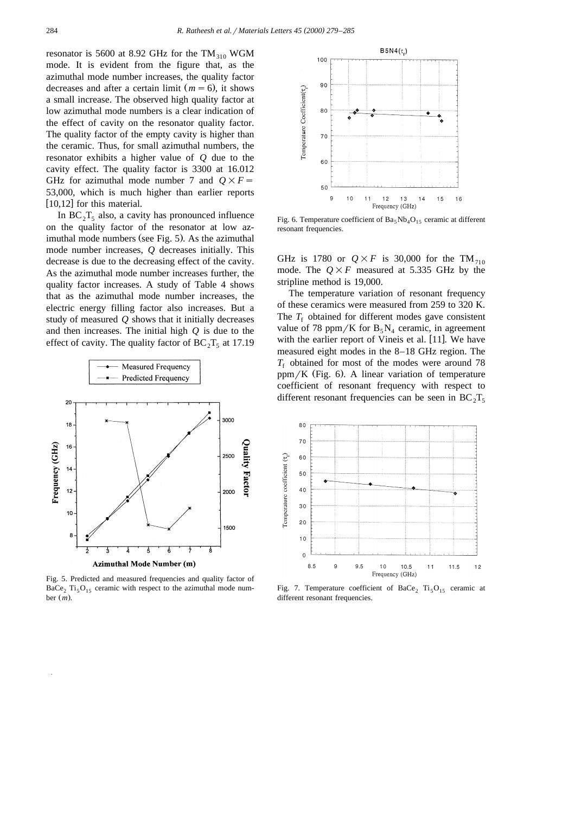resonator is 5600 at 8.92 GHz for the  $TM_{310}$  WGM mode. It is evident from the figure that, as the azimuthal mode number increases, the quality factor decreases and after a certain limit  $(m = 6)$ , it shows a small increase. The observed high quality factor at low azimuthal mode numbers is a clear indication of the effect of cavity on the resonator quality factor. The quality factor of the empty cavity is higher than the ceramic. Thus, for small azimuthal numbers, the resonator exhibits a higher value of *Q* due to the cavity effect. The quality factor is 3300 at 16.012 GHz for azimuthal mode number 7 and  $Q \times F =$ 53,000, which is much higher than earlier reports  $\overline{[10,12]}$  for this material.

In  $BC_2T_5$  also, a cavity has pronounced influence on the quality factor of the resonator at low azimuthal mode numbers (see Fig. 5). As the azimuthal mode number increases, *Q* decreases initially. This decrease is due to the decreasing effect of the cavity. As the azimuthal mode number increases further, the quality factor increases. A study of Table 4 shows that as the azimuthal mode number increases, the electric energy filling factor also increases. But a study of measured *Q* shows that it initially decreases and then increases. The initial high *Q* is due to the effect of cavity. The quality factor of  $BC_2T_5$  at 17.19



Fig. 5. Predicted and measured frequencies and quality factor of  $BaCe<sub>2</sub> Ti<sub>5</sub>O<sub>15</sub>$  ceramic with respect to the azimuthal mode number  $(m)$ .



Fig. 6. Temperature coefficient of  $Ba_5Nb_4O_{15}$  ceramic at different resonant frequencies.

GHz is 1780 or  $Q \times F$  is 30,000 for the TM<sub>710</sub> mode. The  $Q \times F$  measured at 5.335 GHz by the stripline method is 19,000.

The temperature variation of resonant frequency of these ceramics were measured from 259 to 320 K. The  $T_f$  obtained for different modes gave consistent value of 78 ppm/K for  $B_5N_4$  ceramic, in agreement with the earlier report of Vineis et al.  $[11]$ . We have measured eight modes in the 8–18 GHz region. The  $T_f$  obtained for most of the modes were around 78  $ppm/K$  (Fig. 6). A linear variation of temperature coefficient of resonant frequency with respect to different resonant frequencies can be seen in  $BC_2T_5$ 



Fig. 7. Temperature coefficient of BaCe<sub>2</sub>  $Ti<sub>5</sub>O<sub>15</sub>$  ceramic at different resonant frequencies.